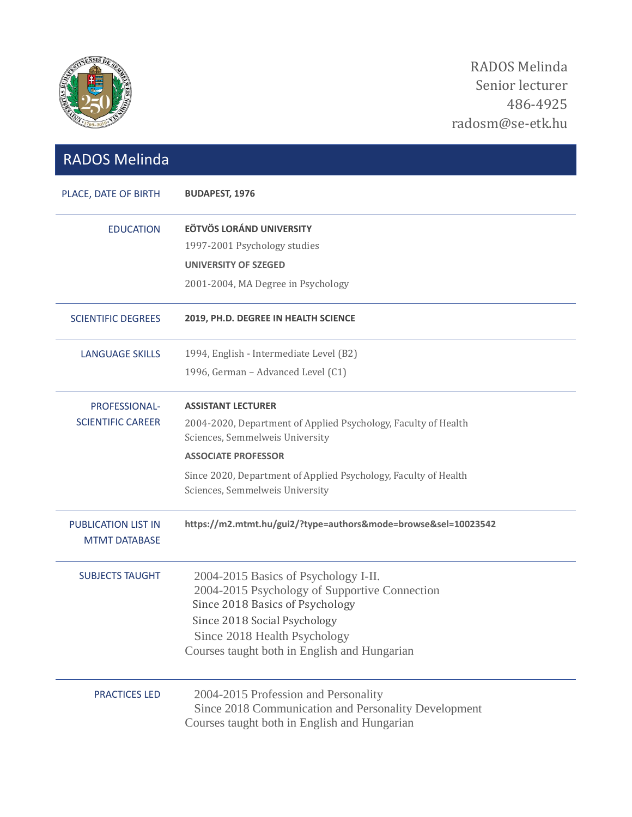

| <b>RADOS Melinda</b>                               |                                                                                                                          |
|----------------------------------------------------|--------------------------------------------------------------------------------------------------------------------------|
| PLACE, DATE OF BIRTH                               | <b>BUDAPEST, 1976</b>                                                                                                    |
| <b>EDUCATION</b>                                   | <b>EÖTVÖS LORÁND UNIVERSITY</b>                                                                                          |
|                                                    | 1997-2001 Psychology studies                                                                                             |
|                                                    | <b>UNIVERSITY OF SZEGED</b>                                                                                              |
|                                                    | 2001-2004, MA Degree in Psychology                                                                                       |
| <b>SCIENTIFIC DEGREES</b>                          | 2019, PH.D. DEGREE IN HEALTH SCIENCE                                                                                     |
| <b>LANGUAGE SKILLS</b>                             | 1994, English - Intermediate Level (B2)                                                                                  |
|                                                    | 1996, German - Advanced Level (C1)                                                                                       |
| PROFESSIONAL-                                      | <b>ASSISTANT LECTURER</b>                                                                                                |
| <b>SCIENTIFIC CAREER</b>                           | 2004-2020, Department of Applied Psychology, Faculty of Health<br>Sciences, Semmelweis University                        |
|                                                    | <b>ASSOCIATE PROFESSOR</b>                                                                                               |
|                                                    | Since 2020, Department of Applied Psychology, Faculty of Health<br>Sciences, Semmelweis University                       |
| <b>PUBLICATION LIST IN</b><br><b>MTMT DATABASE</b> | https://m2.mtmt.hu/gui2/?type=authors&mode=browse&sel=10023542                                                           |
| <b>SUBJECTS TAUGHT</b>                             | 2004-2015 Basics of Psychology I-II.<br>2004-2015 Psychology of Supportive Connection<br>Since 2018 Basics of Psychology |
|                                                    | Since 2018 Social Psychology                                                                                             |
|                                                    | Since 2018 Health Psychology<br>Courses taught both in English and Hungarian                                             |
| <b>PRACTICES LED</b>                               | 2004-2015 Profession and Personality<br>Since 2018 Communication and Personality Development                             |
|                                                    | Courses taught both in English and Hungarian                                                                             |